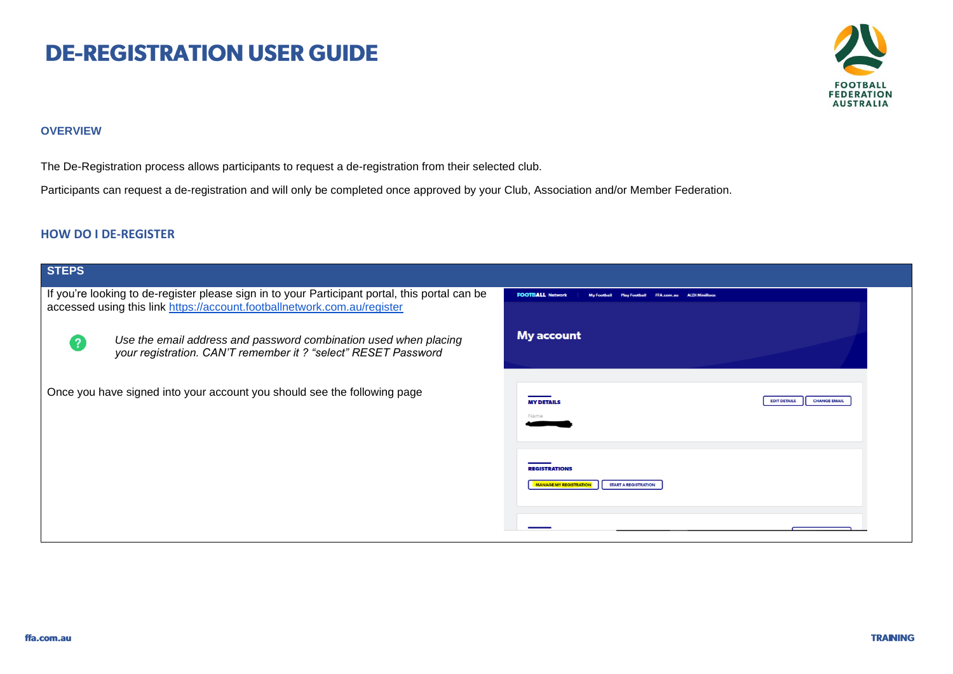# **DE-REGISTRATION USER GUIDE**



### **OVERVIEW**

The De-Registration process allows participants to request a de-registration from their selected club.

Participants can request a de-registration and will only be completed once approved by your Club, Association and/or Member Federation.

### **HOW DO I DE-REGISTER**

| <b>STEPS</b>                                                                                                                                                               |                                                                                      |
|----------------------------------------------------------------------------------------------------------------------------------------------------------------------------|--------------------------------------------------------------------------------------|
| If you're looking to de-register please sign in to your Participant portal, this portal can be<br>accessed using this link https://account.footballnetwork.com.au/register | <b>FOOTBALL Network</b><br><b>My Football</b><br><b>ALDI MiniRoc</b>                 |
| Use the email address and password combination used when placing<br>your registration. CAN'T remember it ? "select" RESET Password                                         | <b>My account</b>                                                                    |
| Once you have signed into your account you should see the following page                                                                                                   | <b>CHANGE EMAIL</b><br><b>EDIT DETAILS</b><br><b>MY DETAILS</b>                      |
|                                                                                                                                                                            | <b>REGISTRATIONS</b><br><b>MANAGE MY REGISTRATION</b><br><b>START A REGISTRATION</b> |
|                                                                                                                                                                            |                                                                                      |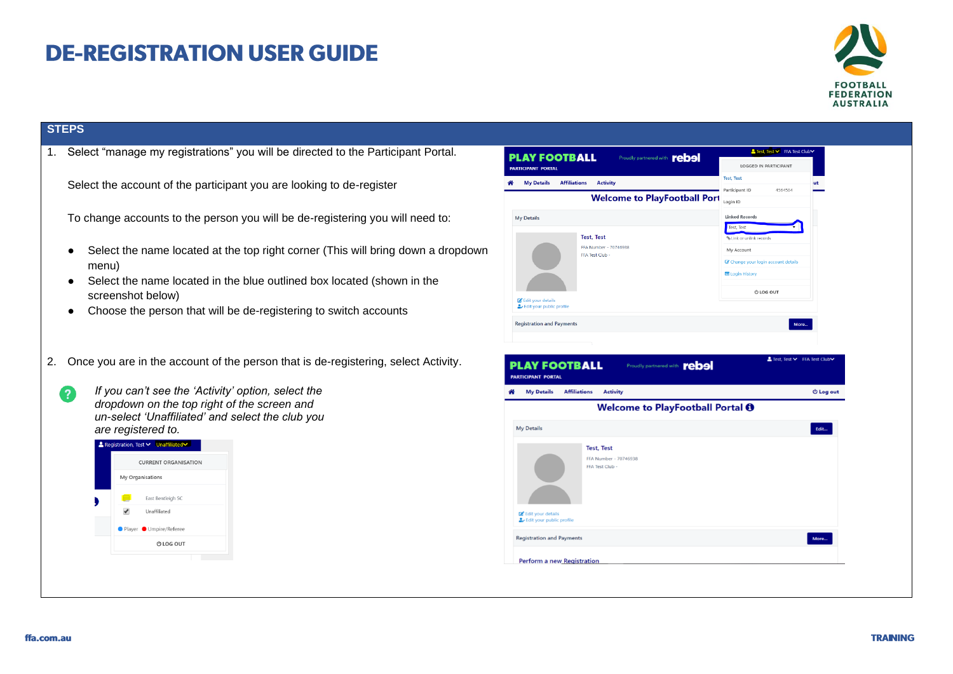## **DE-REGISTRATION USER GUIDE**



### **STEPS**

2

1. Select "manage my registrations" you will be directed to the Participant Portal.

Select the account of the participant you are looking to de-register

To change accounts to the person you will be de-registering you will need to:

- Select the name located at the top right corner (This will bring down a dropdown menu)
- Select the name located in the blue outlined box located (shown in the screenshot below)
- Choose the person that will be de-registering to switch accounts
- 2. Once you are in the account of the person that is de-registering, select Activity.
	- *If you can't see the 'Activity' option, select the dropdown on the top right of the screen and un-select 'Unaffiliated' and select the club you are registered to.*



| <b>My Details</b><br><b>Affiliations</b><br><b>Activity</b>                                                | <b>Test, Test</b><br>ut               |
|------------------------------------------------------------------------------------------------------------|---------------------------------------|
| <b>Welcome to PlayFootball Port</b>                                                                        | Participant ID<br>4564584<br>Login ID |
| <b>My Details</b>                                                                                          | <b>Linked Records</b>                 |
|                                                                                                            | Test, Test                            |
| <b>Test, Test</b>                                                                                          | % Link or unlink records              |
| FFA Number - 70746938<br>FFA Test Club -                                                                   | My Account                            |
|                                                                                                            | C Change your login account details   |
|                                                                                                            | <b>E Login History</b>                |
|                                                                                                            |                                       |
| Edit your details                                                                                          | <b>ULOG OUT</b>                       |
| Edit your public profile                                                                                   |                                       |
| Proudly partnered with <b>rebal</b>                                                                        | More<br>▲ Test, Test > FFA Test Club  |
| <b>Affiliations</b><br><b>My Details</b><br><b>Activity</b>                                                | <b>む Log out</b>                      |
| Welcome to PlayFootball Portal <sup>O</sup>                                                                |                                       |
|                                                                                                            | Edit                                  |
| <b>Test, Test</b>                                                                                          |                                       |
| FFA Number - 70746938                                                                                      |                                       |
| FFA Test Club -                                                                                            |                                       |
|                                                                                                            |                                       |
| <b>Registration and Payments</b><br><b>PLAY FOOTBALL</b><br><b>PARTICIPANT PORTAL</b><br><b>My Details</b> |                                       |
|                                                                                                            |                                       |
| Edit your details                                                                                          |                                       |
| Edit your public profile                                                                                   |                                       |